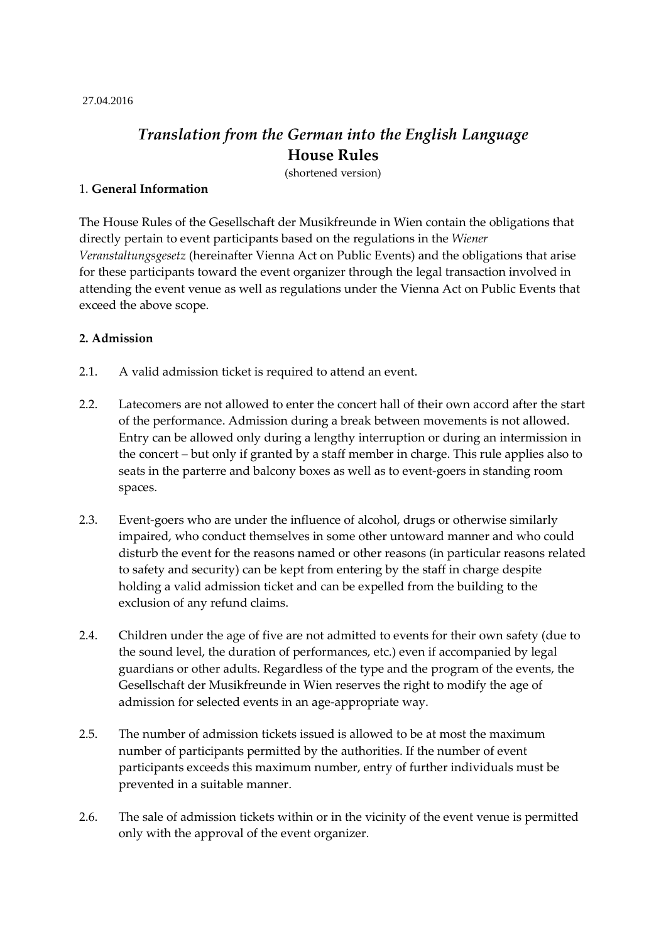#### 27.04.2016

# *Translation from the German into the English Language* **House Rules**

(shortened version)

## 1. **General Information**

The House Rules of the Gesellschaft der Musikfreunde in Wien contain the obligations that directly pertain to event participants based on the regulations in the *Wiener Veranstaltungsgesetz* (hereinafter Vienna Act on Public Events) and the obligations that arise for these participants toward the event organizer through the legal transaction involved in attending the event venue as well as regulations under the Vienna Act on Public Events that exceed the above scope.

## **2. Admission**

- 2.1. A valid admission ticket is required to attend an event.
- 2.2. Latecomers are not allowed to enter the concert hall of their own accord after the start of the performance. Admission during a break between movements is not allowed. Entry can be allowed only during a lengthy interruption or during an intermission in the concert – but only if granted by a staff member in charge. This rule applies also to seats in the parterre and balcony boxes as well as to event-goers in standing room spaces.
- 2.3. Event-goers who are under the influence of alcohol, drugs or otherwise similarly impaired, who conduct themselves in some other untoward manner and who could disturb the event for the reasons named or other reasons (in particular reasons related to safety and security) can be kept from entering by the staff in charge despite holding a valid admission ticket and can be expelled from the building to the exclusion of any refund claims.
- 2.4. Children under the age of five are not admitted to events for their own safety (due to the sound level, the duration of performances, etc.) even if accompanied by legal guardians or other adults. Regardless of the type and the program of the events, the Gesellschaft der Musikfreunde in Wien reserves the right to modify the age of admission for selected events in an age-appropriate way.
- 2.5. The number of admission tickets issued is allowed to be at most the maximum number of participants permitted by the authorities. If the number of event participants exceeds this maximum number, entry of further individuals must be prevented in a suitable manner.
- 2.6. The sale of admission tickets within or in the vicinity of the event venue is permitted only with the approval of the event organizer.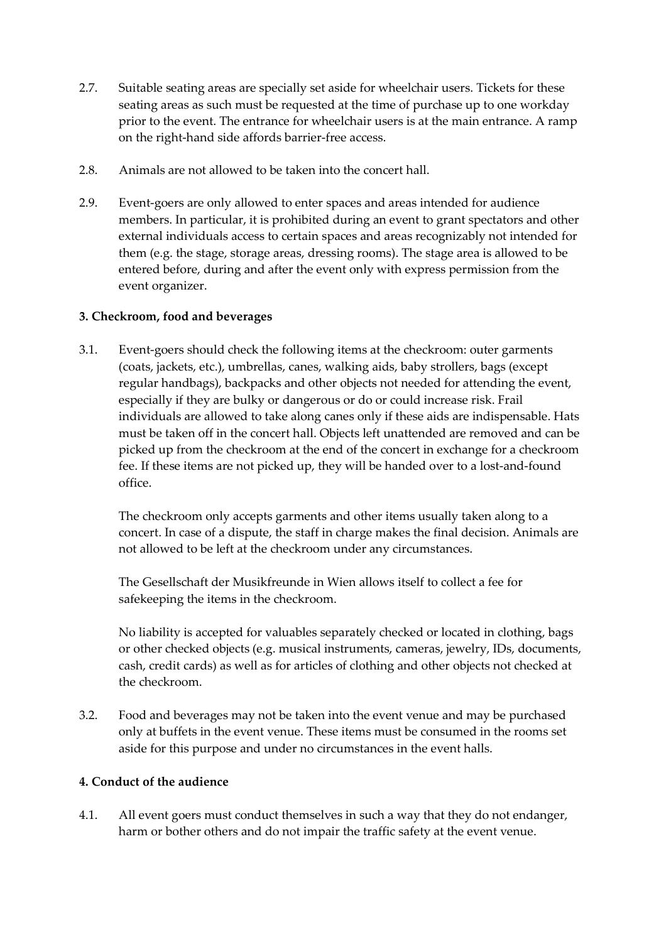- 2.7. Suitable seating areas are specially set aside for wheelchair users. Tickets for these seating areas as such must be requested at the time of purchase up to one workday prior to the event. The entrance for wheelchair users is at the main entrance. A ramp on the right-hand side affords barrier-free access.
- 2.8. Animals are not allowed to be taken into the concert hall.
- 2.9. Event-goers are only allowed to enter spaces and areas intended for audience members. In particular, it is prohibited during an event to grant spectators and other external individuals access to certain spaces and areas recognizably not intended for them (e.g. the stage, storage areas, dressing rooms). The stage area is allowed to be entered before, during and after the event only with express permission from the event organizer.

## **3. Checkroom, food and beverages**

3.1. Event-goers should check the following items at the checkroom: outer garments (coats, jackets, etc.), umbrellas, canes, walking aids, baby strollers, bags (except regular handbags), backpacks and other objects not needed for attending the event, especially if they are bulky or dangerous or do or could increase risk. Frail individuals are allowed to take along canes only if these aids are indispensable. Hats must be taken off in the concert hall. Objects left unattended are removed and can be picked up from the checkroom at the end of the concert in exchange for a checkroom fee. If these items are not picked up, they will be handed over to a lost-and-found office.

The checkroom only accepts garments and other items usually taken along to a concert. In case of a dispute, the staff in charge makes the final decision. Animals are not allowed to be left at the checkroom under any circumstances.

The Gesellschaft der Musikfreunde in Wien allows itself to collect a fee for safekeeping the items in the checkroom.

No liability is accepted for valuables separately checked or located in clothing, bags or other checked objects (e.g. musical instruments, cameras, jewelry, IDs, documents, cash, credit cards) as well as for articles of clothing and other objects not checked at the checkroom.

3.2. Food and beverages may not be taken into the event venue and may be purchased only at buffets in the event venue. These items must be consumed in the rooms set aside for this purpose and under no circumstances in the event halls.

# **4. Conduct of the audience**

4.1. All event goers must conduct themselves in such a way that they do not endanger, harm or bother others and do not impair the traffic safety at the event venue.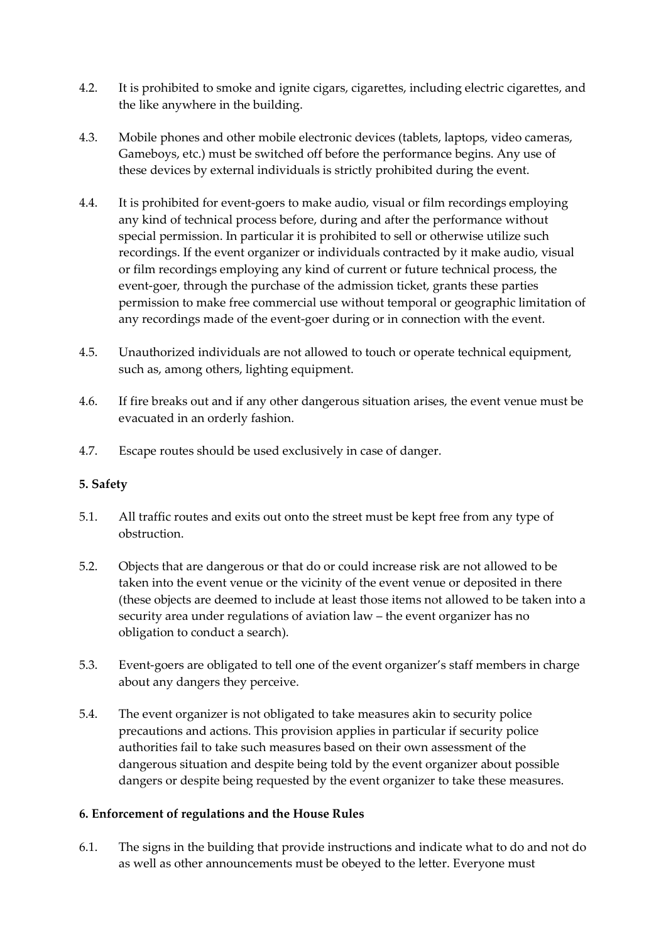- 4.2. It is prohibited to smoke and ignite cigars, cigarettes, including electric cigarettes, and the like anywhere in the building.
- 4.3. Mobile phones and other mobile electronic devices (tablets, laptops, video cameras, Gameboys, etc.) must be switched off before the performance begins. Any use of these devices by external individuals is strictly prohibited during the event.
- 4.4. It is prohibited for event-goers to make audio, visual or film recordings employing any kind of technical process before, during and after the performance without special permission. In particular it is prohibited to sell or otherwise utilize such recordings. If the event organizer or individuals contracted by it make audio, visual or film recordings employing any kind of current or future technical process, the event-goer, through the purchase of the admission ticket, grants these parties permission to make free commercial use without temporal or geographic limitation of any recordings made of the event-goer during or in connection with the event.
- 4.5. Unauthorized individuals are not allowed to touch or operate technical equipment, such as, among others, lighting equipment.
- 4.6. If fire breaks out and if any other dangerous situation arises, the event venue must be evacuated in an orderly fashion.
- 4.7. Escape routes should be used exclusively in case of danger.

## **5. Safety**

- 5.1. All traffic routes and exits out onto the street must be kept free from any type of obstruction.
- 5.2. Objects that are dangerous or that do or could increase risk are not allowed to be taken into the event venue or the vicinity of the event venue or deposited in there (these objects are deemed to include at least those items not allowed to be taken into a security area under regulations of aviation law – the event organizer has no obligation to conduct a search).
- 5.3. Event-goers are obligated to tell one of the event organizer's staff members in charge about any dangers they perceive.
- 5.4. The event organizer is not obligated to take measures akin to security police precautions and actions. This provision applies in particular if security police authorities fail to take such measures based on their own assessment of the dangerous situation and despite being told by the event organizer about possible dangers or despite being requested by the event organizer to take these measures.

## **6. Enforcement of regulations and the House Rules**

6.1. The signs in the building that provide instructions and indicate what to do and not do as well as other announcements must be obeyed to the letter. Everyone must